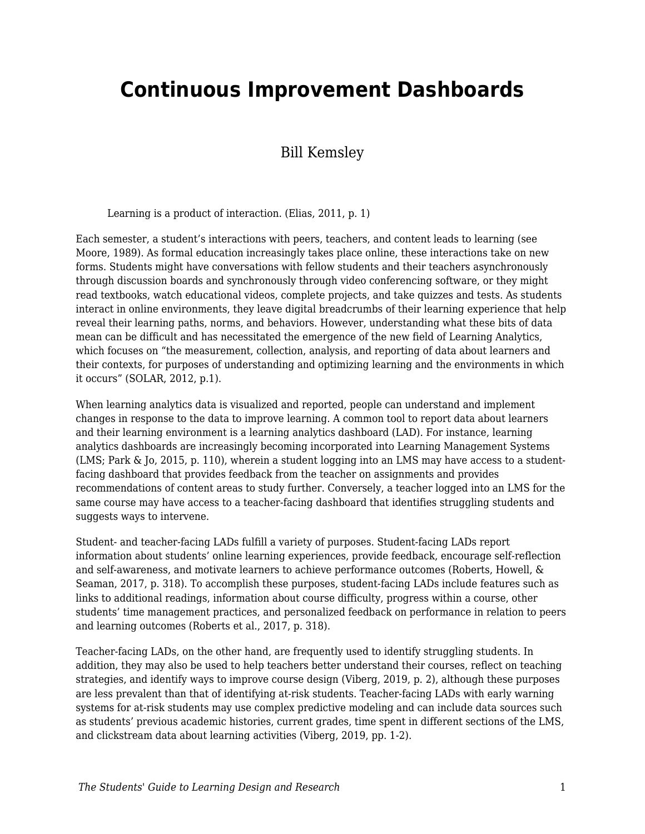# **Continuous Improvement Dashboards**

### Bill Kemsley

Learning is a product of interaction. (Elias, 2011, p. 1)

Each semester, a student's interactions with peers, teachers, and content leads to learning (see Moore, 1989). As formal education increasingly takes place online, these interactions take on new forms. Students might have conversations with fellow students and their teachers asynchronously through discussion boards and synchronously through video conferencing software, or they might read textbooks, watch educational videos, complete projects, and take quizzes and tests. As students interact in online environments, they leave digital breadcrumbs of their learning experience that help reveal their learning paths, norms, and behaviors. However, understanding what these bits of data mean can be difficult and has necessitated the emergence of the new field of Learning Analytics, which focuses on "the measurement, collection, analysis, and reporting of data about learners and their contexts, for purposes of understanding and optimizing learning and the environments in which it occurs" (SOLAR, 2012, p.1).

When learning analytics data is visualized and reported, people can understand and implement changes in response to the data to improve learning. A common tool to report data about learners and their learning environment is a learning analytics dashboard (LAD). For instance, learning analytics dashboards are increasingly becoming incorporated into Learning Management Systems (LMS; Park & Jo, 2015, p. 110), wherein a student logging into an LMS may have access to a studentfacing dashboard that provides feedback from the teacher on assignments and provides recommendations of content areas to study further. Conversely, a teacher logged into an LMS for the same course may have access to a teacher-facing dashboard that identifies struggling students and suggests ways to intervene.

Student- and teacher-facing LADs fulfill a variety of purposes. Student-facing LADs report information about students' online learning experiences, provide feedback, encourage self-reflection and self-awareness, and motivate learners to achieve performance outcomes (Roberts, Howell, & Seaman, 2017, p. 318). To accomplish these purposes, student-facing LADs include features such as links to additional readings, information about course difficulty, progress within a course, other students' time management practices, and personalized feedback on performance in relation to peers and learning outcomes (Roberts et al., 2017, p. 318).

Teacher-facing LADs, on the other hand, are frequently used to identify struggling students. In addition, they may also be used to help teachers better understand their courses, reflect on teaching strategies, and identify ways to improve course design (Viberg, 2019, p. 2), although these purposes are less prevalent than that of identifying at-risk students. Teacher-facing LADs with early warning systems for at-risk students may use complex predictive modeling and can include data sources such as students' previous academic histories, current grades, time spent in different sections of the LMS, and clickstream data about learning activities (Viberg, 2019, pp. 1-2).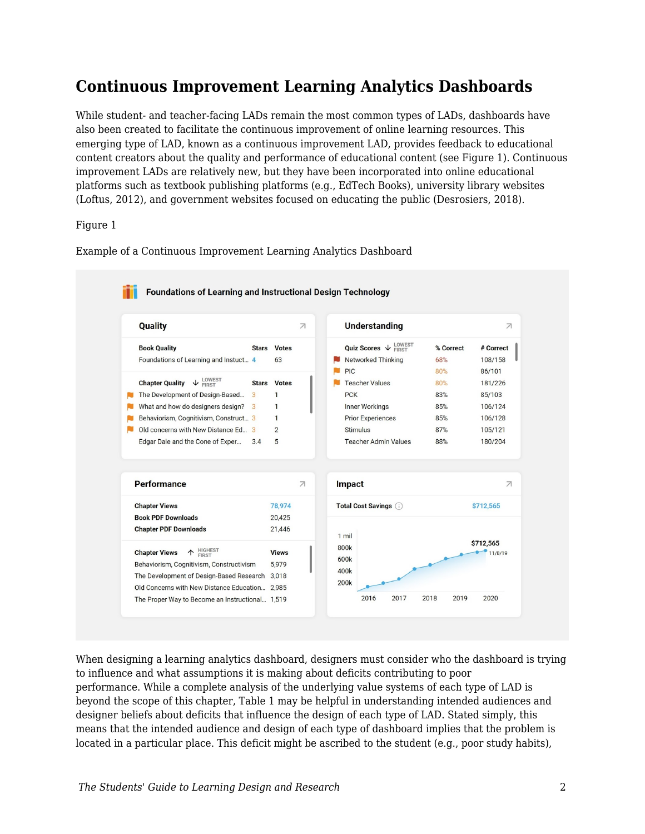## **Continuous Improvement Learning Analytics Dashboards**

While student- and teacher-facing LADs remain the most common types of LADs, dashboards have also been created to facilitate the continuous improvement of online learning resources. This emerging type of LAD, known as a continuous improvement LAD, provides feedback to educational content creators about the quality and performance of educational content (see Figure 1). Continuous improvement LADs are relatively new, but they have been incorporated into online educational platforms such as textbook publishing platforms (e.g., EdTech Books), university library websites (Loftus, 2012), and government websites focused on educating the public (Desrosiers, 2018).

#### Figure 1

Example of a Continuous Improvement Learning Analytics Dashboard



When designing a learning analytics dashboard, designers must consider who the dashboard is trying to influence and what assumptions it is making about deficits contributing to poor performance. While a complete analysis of the underlying value systems of each type of LAD is beyond the scope of this chapter, Table 1 may be helpful in understanding intended audiences and designer beliefs about deficits that influence the design of each type of LAD. Stated simply, this means that the intended audience and design of each type of dashboard implies that the problem is located in a particular place. This deficit might be ascribed to the student (e.g., poor study habits),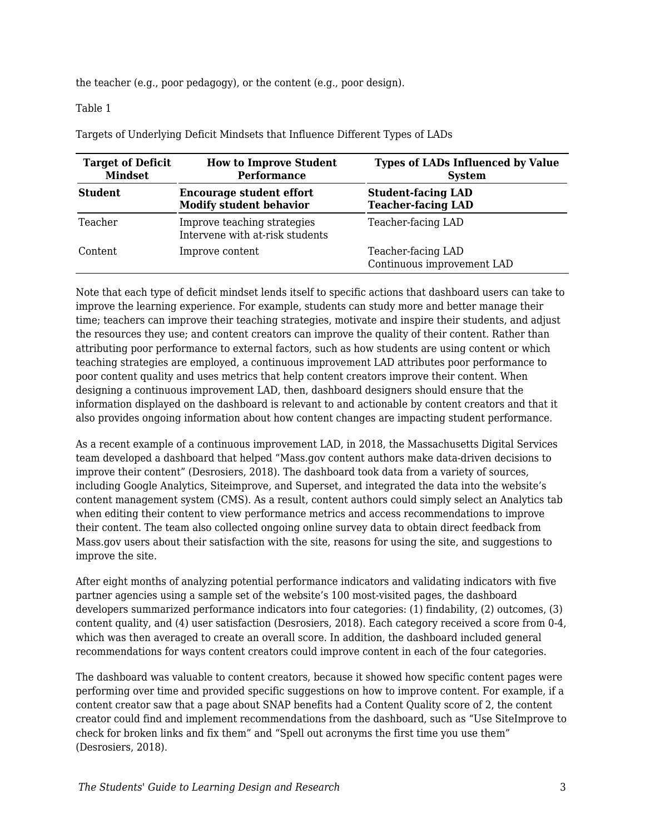the teacher (e.g., poor pedagogy), or the content (e.g., poor design).

#### Table 1

Targets of Underlying Deficit Mindsets that Influence Different Types of LADs

| <b>Target of Deficit</b><br><b>Mindset</b> | <b>How to Improve Student</b><br><b>Performance</b>               | <b>Types of LADs Influenced by Value</b><br><b>System</b> |  |
|--------------------------------------------|-------------------------------------------------------------------|-----------------------------------------------------------|--|
| <b>Student</b>                             | <b>Encourage student effort</b><br><b>Modify student behavior</b> | <b>Student-facing LAD</b><br><b>Teacher-facing LAD</b>    |  |
| Teacher                                    | Improve teaching strategies<br>Intervene with at-risk students    | Teacher-facing LAD                                        |  |
| Content                                    | Improve content                                                   | Teacher-facing LAD<br>Continuous improvement LAD          |  |

Note that each type of deficit mindset lends itself to specific actions that dashboard users can take to improve the learning experience. For example, students can study more and better manage their time; teachers can improve their teaching strategies, motivate and inspire their students, and adjust the resources they use; and content creators can improve the quality of their content. Rather than attributing poor performance to external factors, such as how students are using content or which teaching strategies are employed, a continuous improvement LAD attributes poor performance to poor content quality and uses metrics that help content creators improve their content. When designing a continuous improvement LAD, then, dashboard designers should ensure that the information displayed on the dashboard is relevant to and actionable by content creators and that it also provides ongoing information about how content changes are impacting student performance.

As a recent example of a continuous improvement LAD, in 2018, the Massachusetts Digital Services team developed a dashboard that helped "Mass.gov content authors make data-driven decisions to improve their content" (Desrosiers, 2018). The dashboard took data from a variety of sources, including Google Analytics, Siteimprove, and Superset, and integrated the data into the website's content management system (CMS). As a result, content authors could simply select an Analytics tab when editing their content to view performance metrics and access recommendations to improve their content. The team also collected ongoing online survey data to obtain direct feedback from Mass.gov users about their satisfaction with the site, reasons for using the site, and suggestions to improve the site.

After eight months of analyzing potential performance indicators and validating indicators with five partner agencies using a sample set of the website's 100 most-visited pages, the dashboard developers summarized performance indicators into four categories: (1) findability, (2) outcomes, (3) content quality, and (4) user satisfaction (Desrosiers, 2018). Each category received a score from 0-4, which was then averaged to create an overall score. In addition, the dashboard included general recommendations for ways content creators could improve content in each of the four categories.

The dashboard was valuable to content creators, because it showed how specific content pages were performing over time and provided specific suggestions on how to improve content. For example, if a content creator saw that a page about SNAP benefits had a Content Quality score of 2, the content creator could find and implement recommendations from the dashboard, such as "Use SiteImprove to check for broken links and fix them" and "Spell out acronyms the first time you use them" (Desrosiers, 2018).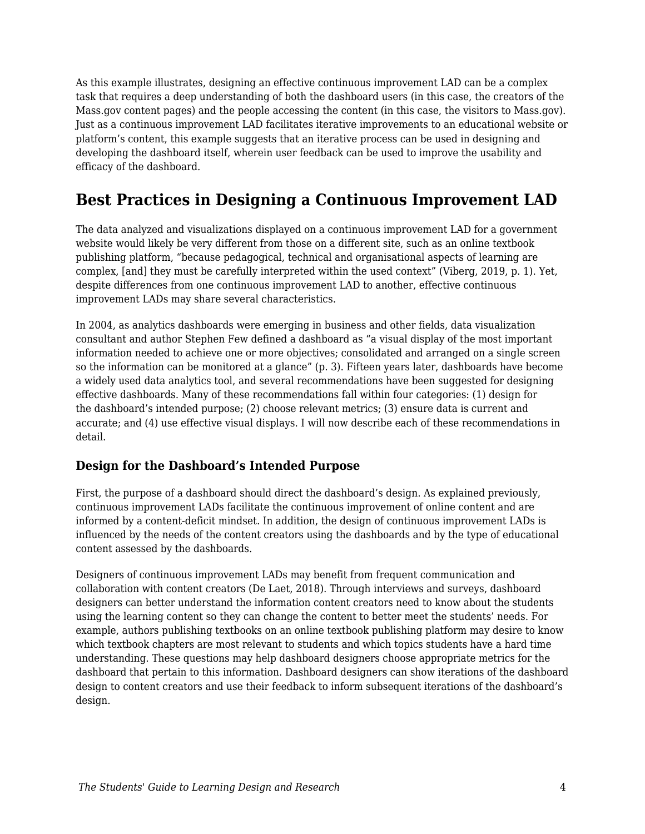As this example illustrates, designing an effective continuous improvement LAD can be a complex task that requires a deep understanding of both the dashboard users (in this case, the creators of the Mass.gov content pages) and the people accessing the content (in this case, the visitors to Mass.gov). Just as a continuous improvement LAD facilitates iterative improvements to an educational website or platform's content, this example suggests that an iterative process can be used in designing and developing the dashboard itself, wherein user feedback can be used to improve the usability and efficacy of the dashboard.

## **Best Practices in Designing a Continuous Improvement LAD**

The data analyzed and visualizations displayed on a continuous improvement LAD for a government website would likely be very different from those on a different site, such as an online textbook publishing platform, "because pedagogical, technical and organisational aspects of learning are complex, [and] they must be carefully interpreted within the used context" (Viberg, 2019, p. 1). Yet, despite differences from one continuous improvement LAD to another, effective continuous improvement LADs may share several characteristics.

In 2004, as analytics dashboards were emerging in business and other fields, data visualization consultant and author Stephen Few defined a dashboard as "a visual display of the most important information needed to achieve one or more objectives; consolidated and arranged on a single screen so the information can be monitored at a glance" (p. 3). Fifteen years later, dashboards have become a widely used data analytics tool, and several recommendations have been suggested for designing effective dashboards. Many of these recommendations fall within four categories: (1) design for the dashboard's intended purpose; (2) choose relevant metrics; (3) ensure data is current and accurate; and (4) use effective visual displays. I will now describe each of these recommendations in detail.

### **Design for the Dashboard's Intended Purpose**

First, the purpose of a dashboard should direct the dashboard's design. As explained previously, continuous improvement LADs facilitate the continuous improvement of online content and are informed by a content-deficit mindset. In addition, the design of continuous improvement LADs is influenced by the needs of the content creators using the dashboards and by the type of educational content assessed by the dashboards.

Designers of continuous improvement LADs may benefit from frequent communication and collaboration with content creators (De Laet, 2018). Through interviews and surveys, dashboard designers can better understand the information content creators need to know about the students using the learning content so they can change the content to better meet the students' needs. For example, authors publishing textbooks on an online textbook publishing platform may desire to know which textbook chapters are most relevant to students and which topics students have a hard time understanding. These questions may help dashboard designers choose appropriate metrics for the dashboard that pertain to this information. Dashboard designers can show iterations of the dashboard design to content creators and use their feedback to inform subsequent iterations of the dashboard's design.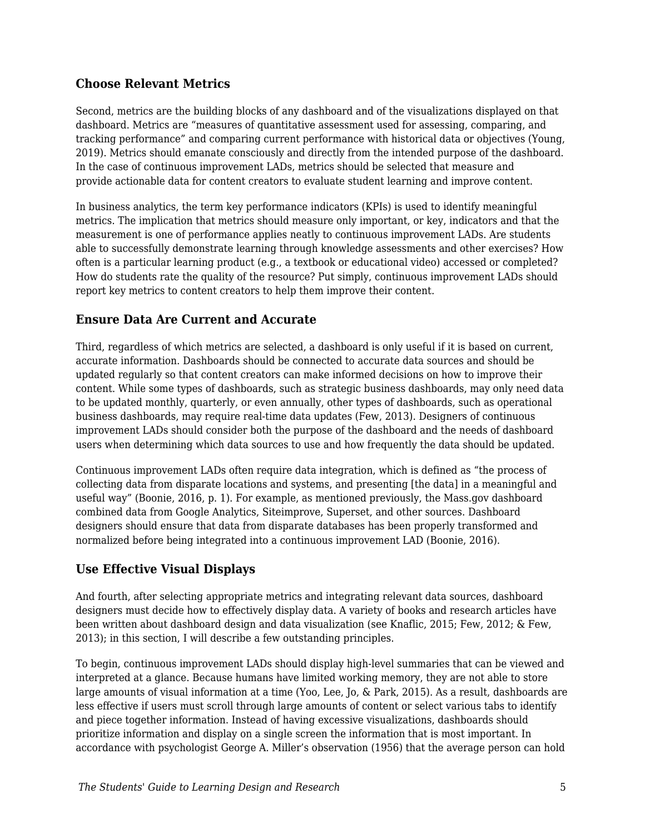#### **Choose Relevant Metrics**

Second, metrics are the building blocks of any dashboard and of the visualizations displayed on that dashboard. Metrics are "measures of quantitative assessment used for assessing, comparing, and tracking performance" and comparing current performance with historical data or objectives (Young, 2019). Metrics should emanate consciously and directly from the intended purpose of the dashboard. In the case of continuous improvement LADs, metrics should be selected that measure and provide actionable data for content creators to evaluate student learning and improve content.

In business analytics, the term key performance indicators (KPIs) is used to identify meaningful metrics. The implication that metrics should measure only important, or key, indicators and that the measurement is one of performance applies neatly to continuous improvement LADs. Are students able to successfully demonstrate learning through knowledge assessments and other exercises? How often is a particular learning product (e.g., a textbook or educational video) accessed or completed? How do students rate the quality of the resource? Put simply, continuous improvement LADs should report key metrics to content creators to help them improve their content.

### **Ensure Data Are Current and Accurate**

Third, regardless of which metrics are selected, a dashboard is only useful if it is based on current, accurate information. Dashboards should be connected to accurate data sources and should be updated regularly so that content creators can make informed decisions on how to improve their content. While some types of dashboards, such as strategic business dashboards, may only need data to be updated monthly, quarterly, or even annually, other types of dashboards, such as operational business dashboards, may require real-time data updates (Few, 2013). Designers of continuous improvement LADs should consider both the purpose of the dashboard and the needs of dashboard users when determining which data sources to use and how frequently the data should be updated.

Continuous improvement LADs often require data integration, which is defined as "the process of collecting data from disparate locations and systems, and presenting [the data] in a meaningful and useful way" (Boonie, 2016, p. 1). For example, as mentioned previously, the Mass.gov dashboard combined data from Google Analytics, Siteimprove, Superset, and other sources. Dashboard designers should ensure that data from disparate databases has been properly transformed and normalized before being integrated into a continuous improvement LAD (Boonie, 2016).

### **Use Effective Visual Displays**

And fourth, after selecting appropriate metrics and integrating relevant data sources, dashboard designers must decide how to effectively display data. A variety of books and research articles have been written about dashboard design and data visualization (see Knaflic, 2015; Few, 2012; & Few, 2013); in this section, I will describe a few outstanding principles.

To begin, continuous improvement LADs should display high-level summaries that can be viewed and interpreted at a glance. Because humans have limited working memory, they are not able to store large amounts of visual information at a time (Yoo, Lee, Jo, & Park, 2015). As a result, dashboards are less effective if users must scroll through large amounts of content or select various tabs to identify and piece together information. Instead of having excessive visualizations, dashboards should prioritize information and display on a single screen the information that is most important. In accordance with psychologist George A. Miller's observation (1956) that the average person can hold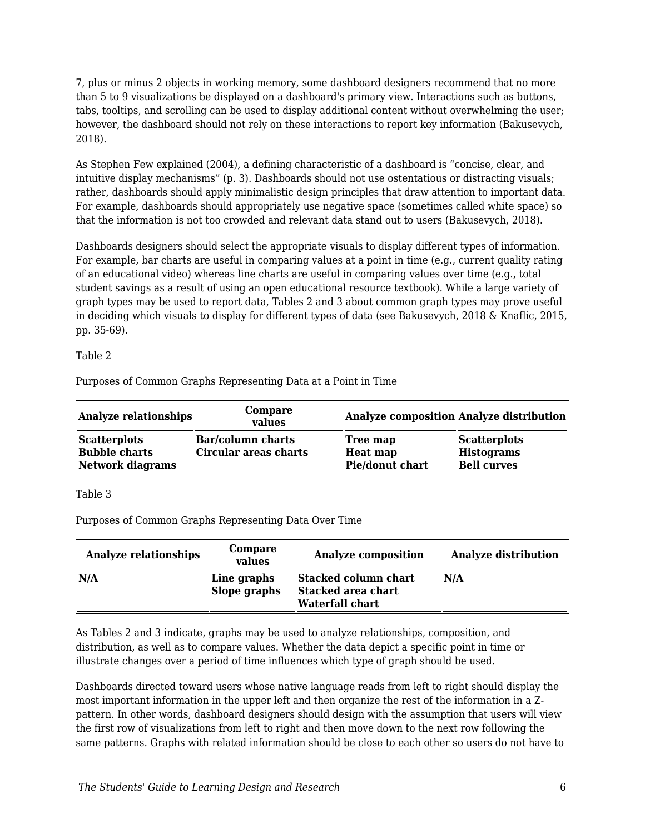7, plus or minus 2 objects in working memory, some dashboard designers recommend that no more than 5 to 9 visualizations be displayed on a dashboard's primary view. Interactions such as buttons, tabs, tooltips, and scrolling can be used to display additional content without overwhelming the user; however, the dashboard should not rely on these interactions to report key information (Bakusevych, 2018).

As Stephen Few explained (2004), a defining characteristic of a dashboard is "concise, clear, and intuitive display mechanisms" (p. 3). Dashboards should not use ostentatious or distracting visuals; rather, dashboards should apply minimalistic design principles that draw attention to important data. For example, dashboards should appropriately use negative space (sometimes called white space) so that the information is not too crowded and relevant data stand out to users (Bakusevych, 2018).

Dashboards designers should select the appropriate visuals to display different types of information. For example, bar charts are useful in comparing values at a point in time (e.g., current quality rating of an educational video) whereas line charts are useful in comparing values over time (e.g., total student savings as a result of using an open educational resource textbook). While a large variety of graph types may be used to report data, Tables 2 and 3 about common graph types may prove useful in deciding which visuals to display for different types of data (see Bakusevych, 2018 & Knaflic, 2015, pp. 35-69).

Table 2

Purposes of Common Graphs Representing Data at a Point in Time

| <b>Analyze relationships</b>                | Compare<br>values                          |                             | <b>Analyze composition Analyze distribution</b> |
|---------------------------------------------|--------------------------------------------|-----------------------------|-------------------------------------------------|
| <b>Scatterplots</b><br><b>Bubble charts</b> | Bar/column charts<br>Circular areas charts | Tree map<br><b>Heat map</b> | <b>Scatterplots</b><br><b>Histograms</b>        |
| <b>Network diagrams</b>                     |                                            | Pie/donut chart             | <b>Bell curves</b>                              |

#### Table 3

Purposes of Common Graphs Representing Data Over Time

| <b>Analyze relationships</b> | Compare<br>values           | <b>Analyze composition</b>                                                  | <b>Analyze distribution</b> |
|------------------------------|-----------------------------|-----------------------------------------------------------------------------|-----------------------------|
| N/A                          | Line graphs<br>Slope graphs | <b>Stacked column chart</b><br><b>Stacked area chart</b><br>Waterfall chart | N/A                         |

As Tables 2 and 3 indicate, graphs may be used to analyze relationships, composition, and distribution, as well as to compare values. Whether the data depict a specific point in time or illustrate changes over a period of time influences which type of graph should be used.

Dashboards directed toward users whose native language reads from left to right should display the most important information in the upper left and then organize the rest of the information in a Zpattern. In other words, dashboard designers should design with the assumption that users will view the first row of visualizations from left to right and then move down to the next row following the same patterns. Graphs with related information should be close to each other so users do not have to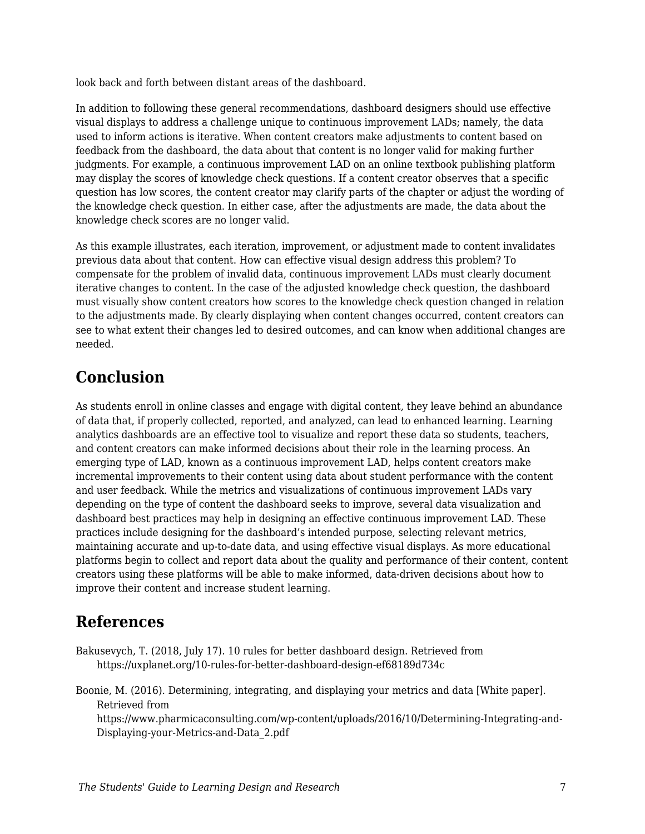look back and forth between distant areas of the dashboard.

In addition to following these general recommendations, dashboard designers should use effective visual displays to address a challenge unique to continuous improvement LADs; namely, the data used to inform actions is iterative. When content creators make adjustments to content based on feedback from the dashboard, the data about that content is no longer valid for making further judgments. For example, a continuous improvement LAD on an online textbook publishing platform may display the scores of knowledge check questions. If a content creator observes that a specific question has low scores, the content creator may clarify parts of the chapter or adjust the wording of the knowledge check question. In either case, after the adjustments are made, the data about the knowledge check scores are no longer valid.

As this example illustrates, each iteration, improvement, or adjustment made to content invalidates previous data about that content. How can effective visual design address this problem? To compensate for the problem of invalid data, continuous improvement LADs must clearly document iterative changes to content. In the case of the adjusted knowledge check question, the dashboard must visually show content creators how scores to the knowledge check question changed in relation to the adjustments made. By clearly displaying when content changes occurred, content creators can see to what extent their changes led to desired outcomes, and can know when additional changes are needed.

### **Conclusion**

As students enroll in online classes and engage with digital content, they leave behind an abundance of data that, if properly collected, reported, and analyzed, can lead to enhanced learning. Learning analytics dashboards are an effective tool to visualize and report these data so students, teachers, and content creators can make informed decisions about their role in the learning process. An emerging type of LAD, known as a continuous improvement LAD, helps content creators make incremental improvements to their content using data about student performance with the content and user feedback. While the metrics and visualizations of continuous improvement LADs vary depending on the type of content the dashboard seeks to improve, several data visualization and dashboard best practices may help in designing an effective continuous improvement LAD. These practices include designing for the dashboard's intended purpose, selecting relevant metrics, maintaining accurate and up-to-date data, and using effective visual displays. As more educational platforms begin to collect and report data about the quality and performance of their content, content creators using these platforms will be able to make informed, data-driven decisions about how to improve their content and increase student learning.

## **References**

Bakusevych, T. (2018, July 17). 10 rules for better dashboard design. Retrieved from https://uxplanet.org/10-rules-for-better-dashboard-design-ef68189d734c

Boonie, M. (2016). Determining, integrating, and displaying your metrics and data [White paper]. Retrieved from

https://www.pharmicaconsulting.com/wp-content/uploads/2016/10/Determining-Integrating-and-Displaying-your-Metrics-and-Data\_2.pdf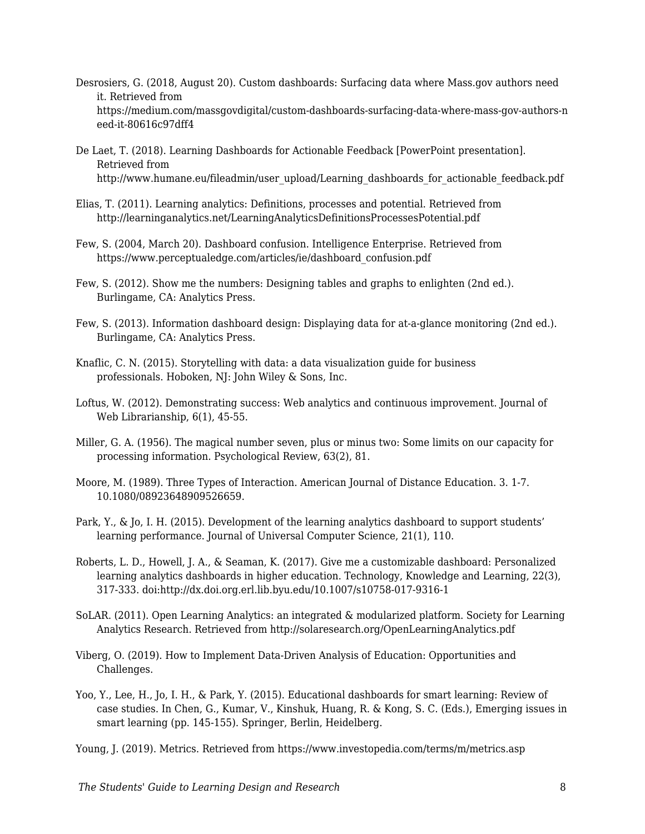- Desrosiers, G. (2018, August 20). Custom dashboards: Surfacing data where Mass.gov authors need it. Retrieved from https://medium.com/massgovdigital/custom-dashboards-surfacing-data-where-mass-gov-authors-n eed-it-80616c97dff4
- De Laet, T. (2018). Learning Dashboards for Actionable Feedback [PowerPoint presentation]. Retrieved from http://www.humane.eu/fileadmin/user\_upload/Learning\_dashboards\_for\_actionable\_feedback.pdf
- Elias, T. (2011). Learning analytics: Definitions, processes and potential. Retrieved from http://learninganalytics.net/LearningAnalyticsDefinitionsProcessesPotential.pdf
- Few, S. (2004, March 20). Dashboard confusion. Intelligence Enterprise. Retrieved from https://www.perceptualedge.com/articles/ie/dashboard\_confusion.pdf
- Few, S. (2012). Show me the numbers: Designing tables and graphs to enlighten (2nd ed.). Burlingame, CA: Analytics Press.
- Few, S. (2013). Information dashboard design: Displaying data for at-a-glance monitoring (2nd ed.). Burlingame, CA: Analytics Press.
- Knaflic, C. N. (2015). Storytelling with data: a data visualization guide for business professionals. Hoboken, NJ: John Wiley & Sons, Inc.
- Loftus, W. (2012). Demonstrating success: Web analytics and continuous improvement. Journal of Web Librarianship, 6(1), 45-55.
- Miller, G. A. (1956). The magical number seven, plus or minus two: Some limits on our capacity for processing information. Psychological Review, 63(2), 81.
- Moore, M. (1989). Three Types of Interaction. American Journal of Distance Education. 3. 1-7. 10.1080/08923648909526659.
- Park, Y., & Jo, I. H. (2015). Development of the learning analytics dashboard to support students' learning performance. Journal of Universal Computer Science, 21(1), 110.
- Roberts, L. D., Howell, J. A., & Seaman, K. (2017). Give me a customizable dashboard: Personalized learning analytics dashboards in higher education. Technology, Knowledge and Learning, 22(3), 317-333. doi:http://dx.doi.org.erl.lib.byu.edu/10.1007/s10758-017-9316-1
- SoLAR. (2011). Open Learning Analytics: an integrated & modularized platform. Society for Learning Analytics Research. Retrieved from http://solaresearch.org/OpenLearningAnalytics.pdf
- Viberg, O. (2019). How to Implement Data-Driven Analysis of Education: Opportunities and Challenges.
- Yoo, Y., Lee, H., Jo, I. H., & Park, Y. (2015). Educational dashboards for smart learning: Review of case studies. In Chen, G., Kumar, V., Kinshuk, Huang, R. & Kong, S. C. (Eds.), Emerging issues in smart learning (pp. 145-155). Springer, Berlin, Heidelberg.

Young, J. (2019). Metrics. Retrieved from https://www.investopedia.com/terms/m/metrics.asp